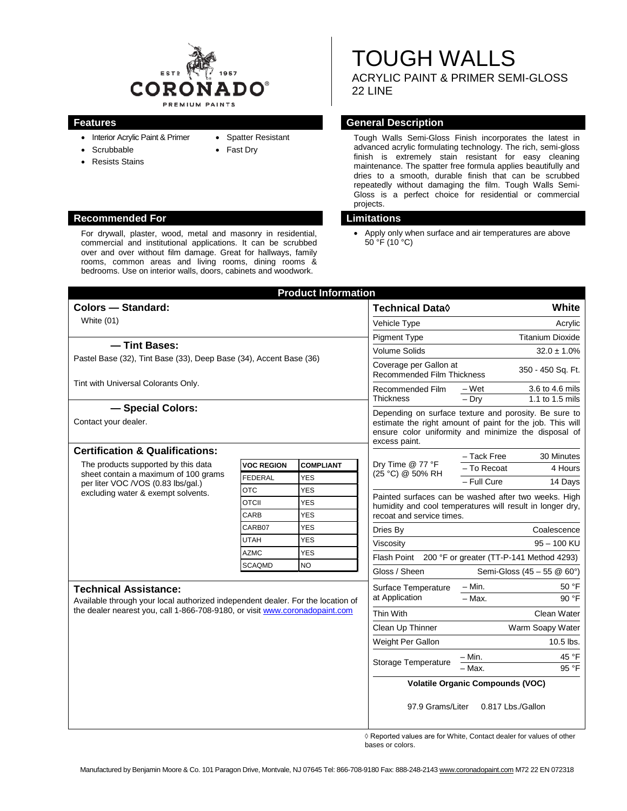

• Spatter Resistant • Fast Dry

- Interior Acrylic Paint & Primer
- Scrubbable
- Resists Stains

# **Recommended For Limitations**

For drywall, plaster, wood, metal and masonry in residential, commercial and institutional applications. It can be scrubbed over and over without film damage. Great for hallways, family rooms, common areas and living rooms, dining rooms & bedrooms. Use on interior walls, doors, cabinets and woodwork.

# TOUGH WALLS ACRYLIC PAINT & PRIMER SEMI-GLOSS

22 LINE

# **Features General Description**

Tough Walls Semi-Gloss Finish incorporates the latest in advanced acrylic formulating technology. The rich, semi-gloss finish is extremely stain resistant for easy cleaning maintenance. The spatter free formula applies beautifully and dries to a smooth, durable finish that can be scrubbed repeatedly without damaging the film. Tough Walls Semi-Gloss is a perfect choice for residential or commercial projects.

• Apply only when surface and air temperatures are above 50 °F (10 °C)

| <b>Technical Data</b> ♦<br>Vehicle Type<br><b>Pigment Type</b><br><b>Volume Solids</b><br>Coverage per Gallon at<br><b>Recommended Film Thickness</b><br>Recommended Film | – Wet<br>$-$ Drv                                                                                      | White                                                                                                                                                                      |
|---------------------------------------------------------------------------------------------------------------------------------------------------------------------------|-------------------------------------------------------------------------------------------------------|----------------------------------------------------------------------------------------------------------------------------------------------------------------------------|
|                                                                                                                                                                           |                                                                                                       | Acrylic<br><b>Titanium Dioxide</b><br>$32.0 \pm 1.0\%$<br>350 - 450 Sq. Ft.<br>3.6 to 4.6 mils<br>1.1 to 1.5 mils                                                          |
|                                                                                                                                                                           |                                                                                                       |                                                                                                                                                                            |
|                                                                                                                                                                           |                                                                                                       |                                                                                                                                                                            |
|                                                                                                                                                                           |                                                                                                       |                                                                                                                                                                            |
|                                                                                                                                                                           |                                                                                                       |                                                                                                                                                                            |
|                                                                                                                                                                           |                                                                                                       |                                                                                                                                                                            |
|                                                                                                                                                                           |                                                                                                       |                                                                                                                                                                            |
| excess paint.                                                                                                                                                             |                                                                                                       | Depending on surface texture and porosity. Be sure to<br>estimate the right amount of paint for the job. This will<br>ensure color uniformity and minimize the disposal of |
|                                                                                                                                                                           | - Tack Free                                                                                           | 30 Minutes                                                                                                                                                                 |
| Dry Time @ 77 °F<br>(25 °C) @ 50% RH                                                                                                                                      | - To Recoat                                                                                           | 4 Hours                                                                                                                                                                    |
|                                                                                                                                                                           | - Full Cure                                                                                           | 14 Days                                                                                                                                                                    |
|                                                                                                                                                                           | Painted surfaces can be washed after two weeks. High                                                  |                                                                                                                                                                            |
| recoat and service times.                                                                                                                                                 |                                                                                                       | humidity and cool temperatures will result in longer dry,                                                                                                                  |
|                                                                                                                                                                           |                                                                                                       |                                                                                                                                                                            |
|                                                                                                                                                                           |                                                                                                       | Coalescence                                                                                                                                                                |
| Viscosity<br>Flash Point                                                                                                                                                  |                                                                                                       | $95 - 100$ KU                                                                                                                                                              |
|                                                                                                                                                                           |                                                                                                       | 200 °F or greater (TT-P-141 Method 4293)                                                                                                                                   |
| Gloss / Sheen                                                                                                                                                             |                                                                                                       | Semi-Gloss (45 - 55 @ 60°)                                                                                                                                                 |
|                                                                                                                                                                           | $- Min.$                                                                                              | 50 °F                                                                                                                                                                      |
|                                                                                                                                                                           |                                                                                                       | 90 °F                                                                                                                                                                      |
|                                                                                                                                                                           |                                                                                                       | Clean Water                                                                                                                                                                |
|                                                                                                                                                                           |                                                                                                       | Warm Soapy Water                                                                                                                                                           |
|                                                                                                                                                                           |                                                                                                       | 10.5 lbs.                                                                                                                                                                  |
|                                                                                                                                                                           |                                                                                                       | 45 °F                                                                                                                                                                      |
|                                                                                                                                                                           |                                                                                                       | 95 °F                                                                                                                                                                      |
|                                                                                                                                                                           |                                                                                                       |                                                                                                                                                                            |
|                                                                                                                                                                           | Surface Temperature<br>at Application<br>Clean Up Thinner<br>Weight Per Gallon<br>Storage Temperature | $-$ Max.<br>– Min.<br>- Max.<br><b>Volatile Organic Compounds (VOC)</b><br>97.9 Grams/Liter<br>0.817 Lbs./Gallon                                                           |

◊ Reported values are for White, Contact dealer for values of other bases or colors.